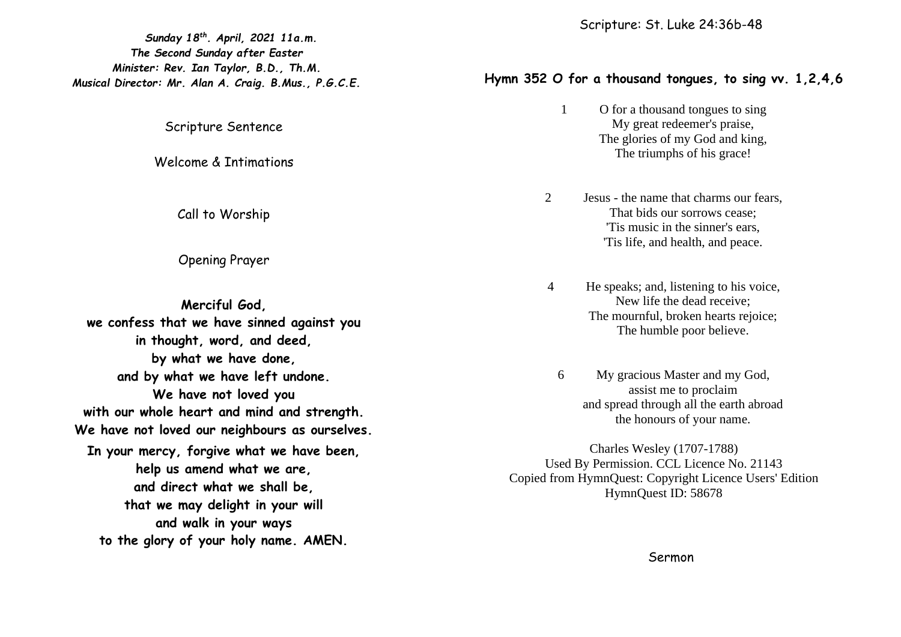*Sunday 18th . April, 2021 11a.m. The Second Sunday after Easter Minister: Rev. Ian Taylor, B.D., Th.M. Musical Director: Mr. Alan A. Craig. B.Mus., P.G.C.E.*

Scripture Sentence

Welcome & Intimations

Call to Worship

Opening Prayer

**Merciful God, we confess that we have sinned against you in thought, word, and deed, by what we have done, and by what we have left undone. We have not loved you with our whole heart and mind and strength. We have not loved our neighbours as ourselves. In your mercy, forgive what we have been, help us amend what we are, and direct what we shall be, that we may delight in your will and walk in your ways to the glory of your holy name. AMEN.**

## **Hymn 352 O for a thousand tongues, to sing vv. 1,2,4,6**

- 1 O for a thousand tongues to sing My great redeemer's praise, The glories of my God and king, The triumphs of his grace!
- 2 Jesus the name that charms our fears, That bids our sorrows cease; 'Tis music in the sinner's ears, 'Tis life, and health, and peace.
- 4 He speaks; and, listening to his voice, New life the dead receive; The mournful, broken hearts rejoice; The humble poor believe.
	- 6 My gracious Master and my God, assist me to proclaim and spread through all the earth abroad the honours of your name.

Charles Wesley (1707-1788) Used By Permission. CCL Licence No. 21143 Copied from HymnQuest: Copyright Licence Users' Edition HymnQuest ID: 58678

Sermon